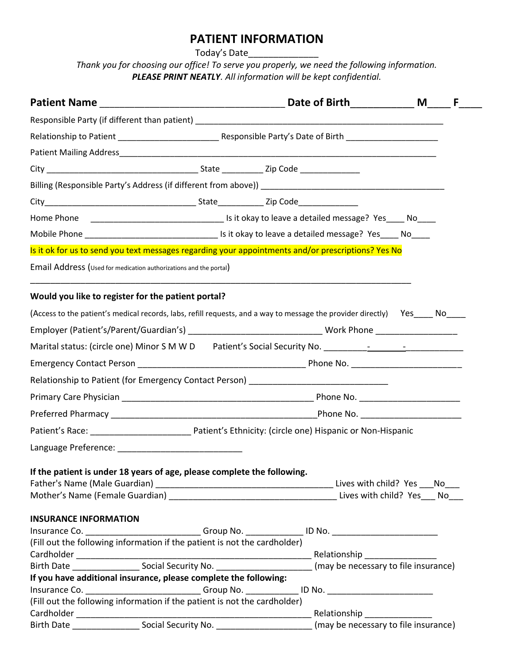# **PATIENT INFORMATION**

Today's Date\_\_\_\_\_\_\_\_\_\_\_\_\_\_\_\_\_\_\_

*Thank you for choosing our office! To serve you properly, we need the following information. PLEASE PRINT NEATLY. All information will be kept confidential.*

|                                                                                                                     |  | F. |
|---------------------------------------------------------------------------------------------------------------------|--|----|
|                                                                                                                     |  |    |
|                                                                                                                     |  |    |
|                                                                                                                     |  |    |
|                                                                                                                     |  |    |
|                                                                                                                     |  |    |
|                                                                                                                     |  |    |
|                                                                                                                     |  |    |
|                                                                                                                     |  |    |
| Is it ok for us to send you text messages regarding your appointments and/or prescriptions? Yes No                  |  |    |
| Email Address (Used for medication authorizations and the portal)                                                   |  |    |
| Would you like to register for the patient portal?                                                                  |  |    |
| (Access to the patient's medical records, labs, refill requests, and a way to message the provider directly) Yes No |  |    |
|                                                                                                                     |  |    |
| Marital status: (circle one) Minor S M W D Patient's Social Security No. ___________________________                |  |    |
|                                                                                                                     |  |    |
| Relationship to Patient (for Emergency Contact Person) _________________________                                    |  |    |
|                                                                                                                     |  |    |
|                                                                                                                     |  |    |
|                                                                                                                     |  |    |
|                                                                                                                     |  |    |
| If the patient is under 18 years of age, please complete the following.                                             |  |    |
| <b>INSURANCE INFORMATION</b>                                                                                        |  |    |
| Insurance Co. _______________________________Group No. _________________ ID No. _________________________           |  |    |
| (Fill out the following information if the patient is not the cardholder)                                           |  |    |
| Birth Date Social Security No. (may be necessary to file insurance)                                                 |  |    |
| If you have additional insurance, please complete the following:                                                    |  |    |
| Insurance Co. ______________________________Group No. ______________ ID No. ________________________                |  |    |
| (Fill out the following information if the patient is not the cardholder)                                           |  |    |
|                                                                                                                     |  |    |
|                                                                                                                     |  |    |